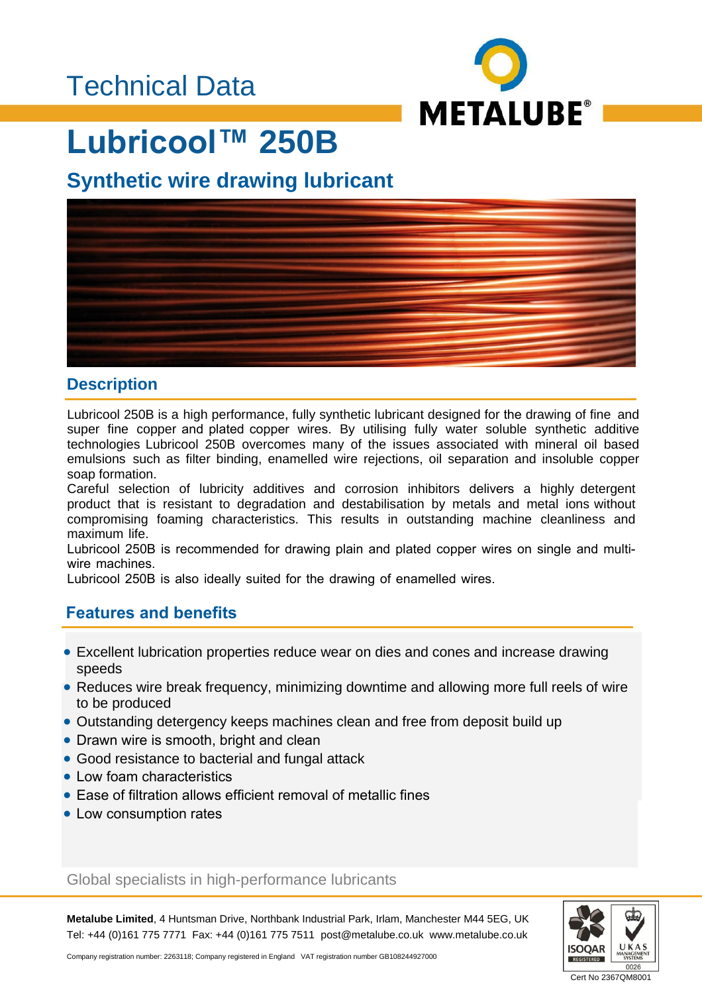

# **Lubricool™ 250B**

### **Synthetic wire drawing lubricant**



#### **Description**

Lubricool 250B is a high performance, fully synthetic lubricant designed for the drawing of fine and super fine copper and plated copper wires. By utilising fully water soluble synthetic additive technologies Lubricool 250B overcomes many of the issues associated with mineral oil based emulsions such as filter binding, enamelled wire rejections, oil separation and insoluble copper soap formation.

Careful selection of lubricity additives and corrosion inhibitors delivers a highly detergent product that is resistant to degradation and destabilisation by metals and metal ions without compromising foaming characteristics. This results in outstanding machine cleanliness and maximum life.

Lubricool 250B is recommended for drawing plain and plated copper wires on single and multiwire machines.

Lubricool 250B is also ideally suited for the drawing of enamelled wires.

#### **Features and benefits**

- Excellent lubrication properties reduce wear on dies and cones and increase drawing speeds
- Reduces wire break frequency, minimizing downtime and allowing more full reels of wire to be produced
- Outstanding detergency keeps machines clean and free from deposit build up
- Drawn wire is smooth, bright and clean
- Good resistance to bacterial and fungal attack
- Low foam characteristics
- Ease of filtration allows efficient removal of metallic fines
- Low consumption rates

#### Global specialists in high-performance lubricants

**Metalube Limited**, 4 Huntsman Drive, Northbank Industrial Park, Irlam, Manchester M44 5EG, UK Tel: +44 (0)161 775 7771 Fax: +44 (0)161 775 7511 post@metalube.co.uk www.metalube.co.uk



Company registration number: 2263118; Company registered in England VAT registration number GB108244927000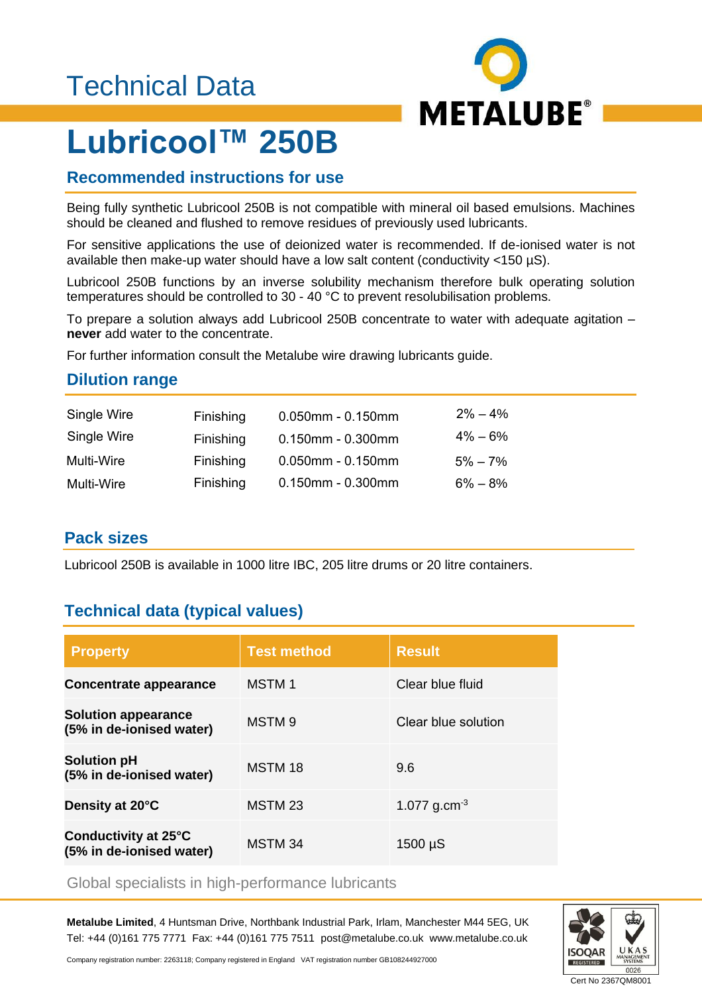### Technical Data



# **Lubricool™ 250B**

#### **Recommended instructions for use**

Being fully synthetic Lubricool 250B is not compatible with mineral oil based emulsions. Machines should be cleaned and flushed to remove residues of previously used lubricants.

For sensitive applications the use of deionized water is recommended. If de-ionised water is not available then make-up water should have a low salt content (conductivity <150 µS).

Lubricool 250B functions by an inverse solubility mechanism therefore bulk operating solution temperatures should be controlled to 30 - 40 °C to prevent resolubilisation problems.

To prepare a solution always add Lubricool 250B concentrate to water with adequate agitation – **never** add water to the concentrate.

For further information consult the Metalube wire drawing lubricants guide.

#### **Dilution range**

| Single Wire | Finishing | $0.050$ mm - $0.150$ mm | $2\% - 4\%$ |
|-------------|-----------|-------------------------|-------------|
| Single Wire | Finishing | $0.150$ mm - $0.300$ mm | $4\% - 6\%$ |
| Multi-Wire  | Finishing | $0.050$ mm - $0.150$ mm | $5\% - 7\%$ |
| Multi-Wire  | Finishing | $0.150$ mm - $0.300$ mm | $6\% - 8\%$ |

#### **Pack sizes**

Lubricool 250B is available in 1000 litre IBC, 205 litre drums or 20 litre containers.

#### **Technical data (typical values)**

| <b>Property</b>                                        | <b>Test method</b> | <b>Result</b>            |
|--------------------------------------------------------|--------------------|--------------------------|
| <b>Concentrate appearance</b>                          | <b>MSTM1</b>       | Clear blue fluid         |
| <b>Solution appearance</b><br>(5% in de-ionised water) | MSTM <sub>9</sub>  | Clear blue solution      |
| <b>Solution pH</b><br>(5% in de-ionised water)         | MSTM 18            | 9.6                      |
| Density at 20°C                                        | MSTM 23            | 1.077 g.cm <sup>-3</sup> |
| Conductivity at 25°C<br>(5% in de-ionised water)       | MSTM <sub>34</sub> | $1500 \mu S$             |

#### Global specialists in high-performance lubricants

**Metalube Limited**, 4 Huntsman Drive, Northbank Industrial Park, Irlam, Manchester M44 5EG, UK Tel: +44 (0)161 775 7771 Fax: +44 (0)161 775 7511 post@metalube.co.uk www.metalube.co.uk



Company registration number: 2263118; Company registered in England VAT registration number GB108244927000